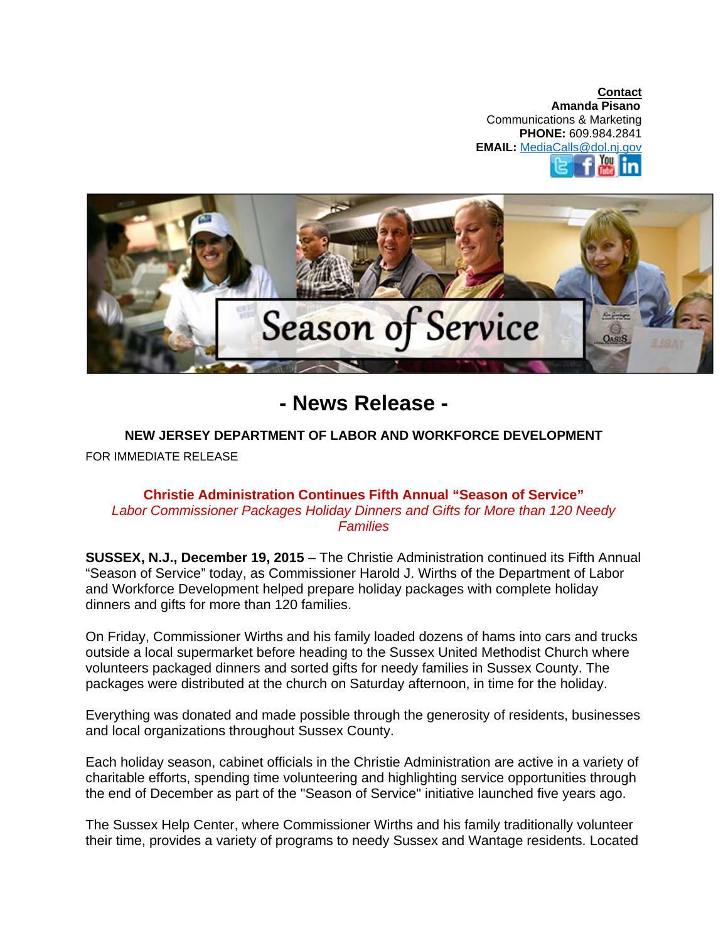**Contact Amanda Pisano**  Communications & Marketing **PHONE:** 609.984.2841 **EMAIL:** MediaCalls@dol.nj.gov You



**- News Release -**

## **NEW JERSEY DEPARTMENT OF LABOR AND WORKFORCE DEVELOPMENT**

FOR IMMEDIATE RELEASE

## **Christie Administration Continues Fifth Annual "Season of Service"**  *Labor Commissioner Packages Holiday Dinners and Gifts for More than 120 Needy Families*

**SUSSEX, N.J., December 19, 2015** – The Christie Administration continued its Fifth Annual "Season of Service" today, as Commissioner Harold J. Wirths of the Department of Labor and Workforce Development helped prepare holiday packages with complete holiday dinners and gifts for more than 120 families.

On Friday, Commissioner Wirths and his family loaded dozens of hams into cars and trucks outside a local supermarket before heading to the Sussex United Methodist Church where volunteers packaged dinners and sorted gifts for needy families in Sussex County. The packages were distributed at the church on Saturday afternoon, in time for the holiday.

Everything was donated and made possible through the generosity of residents, businesses and local organizations throughout Sussex County.

Each holiday season, cabinet officials in the Christie Administration are active in a variety of charitable efforts, spending time volunteering and highlighting service opportunities through the end of December as part of the "Season of Service" initiative launched five years ago.

The Sussex Help Center, where Commissioner Wirths and his family traditionally volunteer their time, provides a variety of programs to needy Sussex and Wantage residents. Located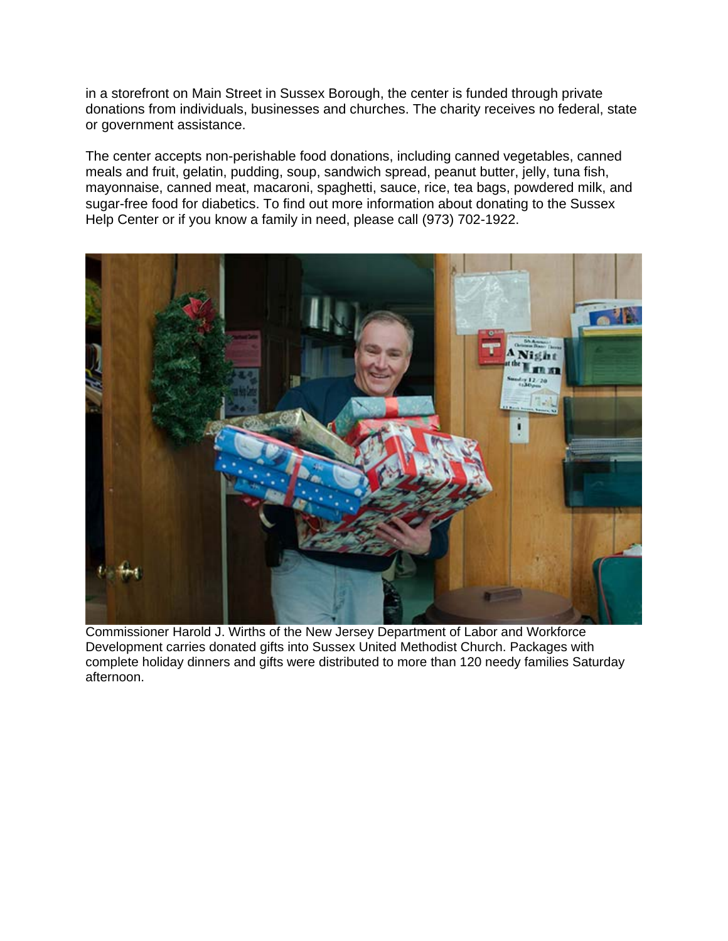in a storefront on Main Street in Sussex Borough, the center is funded through private donations from individuals, businesses and churches. The charity receives no federal, state or government assistance.

The center accepts non-perishable food donations, including canned vegetables, canned meals and fruit, gelatin, pudding, soup, sandwich spread, peanut butter, jelly, tuna fish, mayonnaise, canned meat, macaroni, spaghetti, sauce, rice, tea bags, powdered milk, and sugar-free food for diabetics. To find out more information about donating to the Sussex Help Center or if you know a family in need, please call (973) 702-1922.



Commissioner Harold J. Wirths of the New Jersey Department of Labor and Workforce Development carries donated gifts into Sussex United Methodist Church. Packages with complete holiday dinners and gifts were distributed to more than 120 needy families Saturday afternoon.